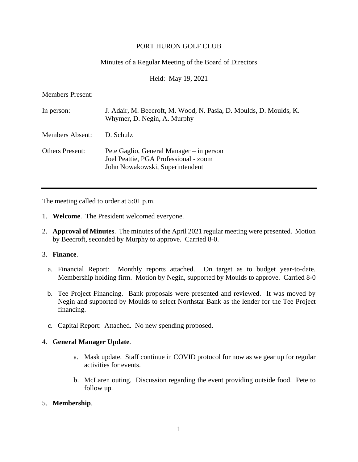# PORT HURON GOLF CLUB

# Minutes of a Regular Meeting of the Board of Directors

Held: May 19, 2021

Members Present:

| In person:             | J. Adair, M. Beecroft, M. Wood, N. Pasia, D. Moulds, D. Moulds, K.<br>Whymer, D. Negin, A. Murphy                    |
|------------------------|----------------------------------------------------------------------------------------------------------------------|
| Members Absent:        | D. Schulz                                                                                                            |
| <b>Others Present:</b> | Pete Gaglio, General Manager – in person<br>Joel Peattie, PGA Professional - zoom<br>John Nowakowski, Superintendent |

The meeting called to order at 5:01 p.m.

- 1. **Welcome**. The President welcomed everyone.
- 2. **Approval of Minutes**. The minutes of the April 2021 regular meeting were presented. Motion by Beecroft, seconded by Murphy to approve. Carried 8-0.

# 3. **Finance**.

- a. Financial Report: Monthly reports attached. On target as to budget year-to-date. Membership holding firm. Motion by Negin, supported by Moulds to approve. Carried 8-0
- b. Tee Project Financing. Bank proposals were presented and reviewed. It was moved by Negin and supported by Moulds to select Northstar Bank as the lender for the Tee Project financing.
- c. Capital Report: Attached. No new spending proposed.

# 4. **General Manager Update**.

- a. Mask update. Staff continue in COVID protocol for now as we gear up for regular activities for events.
- b. McLaren outing. Discussion regarding the event providing outside food. Pete to follow up.

# 5. **Membership**.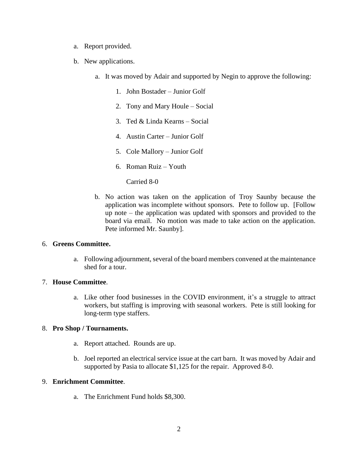- a. Report provided.
- b. New applications.
	- a. It was moved by Adair and supported by Negin to approve the following:
		- 1. John Bostader Junior Golf
		- 2. Tony and Mary Houle Social
		- 3. Ted & Linda Kearns Social
		- 4. Austin Carter Junior Golf
		- 5. Cole Mallory Junior Golf
		- 6. Roman Ruiz Youth

Carried 8-0

b. No action was taken on the application of Troy Saunby because the application was incomplete without sponsors. Pete to follow up. [Follow up note – the application was updated with sponsors and provided to the board via email. No motion was made to take action on the application. Pete informed Mr. Saunby].

# 6. **Greens Committee.**

a. Following adjournment, several of the board members convened at the maintenance shed for a tour.

# 7. **House Committee**.

a. Like other food businesses in the COVID environment, it's a struggle to attract workers, but staffing is improving with seasonal workers. Pete is still looking for long-term type staffers.

# 8. **Pro Shop / Tournaments.**

- a. Report attached. Rounds are up.
- b. Joel reported an electrical service issue at the cart barn. It was moved by Adair and supported by Pasia to allocate \$1,125 for the repair. Approved 8-0.

#### 9. **Enrichment Committee**.

a. The Enrichment Fund holds \$8,300.